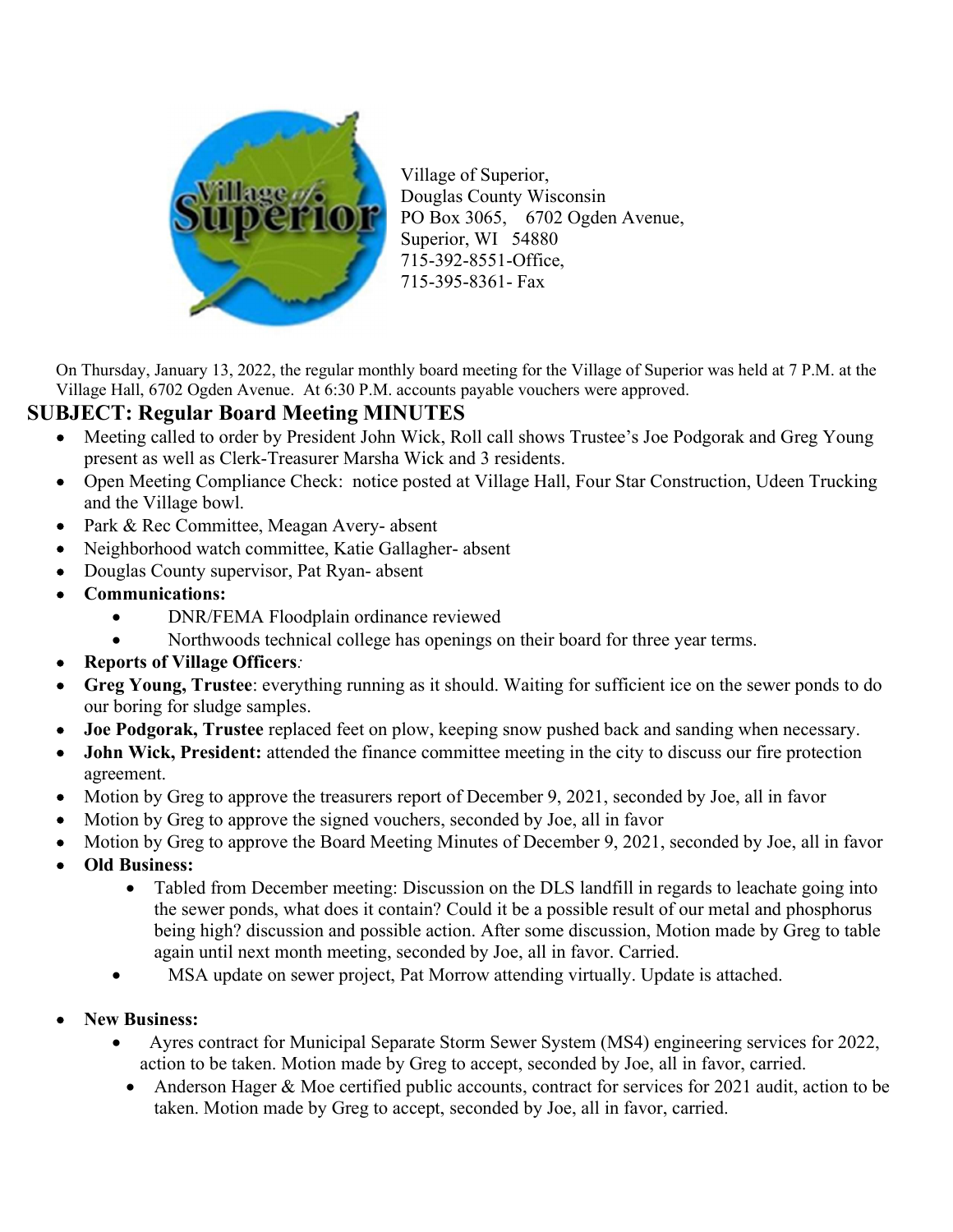

Village of Superior, Douglas County Wisconsin PO Box 3065, 6702 Ogden Avenue, Superior, WI 54880 715-392-8551-Office, 715-395-8361- Fax

On Thursday, January 13, 2022, the regular monthly board meeting for the Village of Superior was held at 7 P.M. at the Village Hall, 6702 Ogden Avenue. At 6:30 P.M. accounts payable vouchers were approved.

## SUBJECT: Regular Board Meeting MINUTES

- Meeting called to order by President John Wick, Roll call shows Trustee's Joe Podgorak and Greg Young present as well as Clerk-Treasurer Marsha Wick and 3 residents.
- Open Meeting Compliance Check: notice posted at Village Hall, Four Star Construction, Udeen Trucking and the Village bowl.
- Park & Rec Committee, Meagan Avery- absent
- Neighborhood watch committee, Katie Gallagher- absent
- Douglas County supervisor, Pat Ryan- absent
- Communications:
	- DNR/FEMA Floodplain ordinance reviewed
	- Northwoods technical college has openings on their board for three year terms.
- Reports of Village Officers:
- Greg Young, Trustee: everything running as it should. Waiting for sufficient ice on the sewer ponds to do our boring for sludge samples.
- Joe Podgorak, Trustee replaced feet on plow, keeping snow pushed back and sanding when necessary.
- John Wick, President: attended the finance committee meeting in the city to discuss our fire protection agreement.
- Motion by Greg to approve the treasurers report of December 9, 2021, seconded by Joe, all in favor
- Motion by Greg to approve the signed vouchers, seconded by Joe, all in favor
- Motion by Greg to approve the Board Meeting Minutes of December 9, 2021, seconded by Joe, all in favor
- Old Business:
	- Tabled from December meeting: Discussion on the DLS landfill in regards to leachate going into the sewer ponds, what does it contain? Could it be a possible result of our metal and phosphorus being high? discussion and possible action. After some discussion, Motion made by Greg to table again until next month meeting, seconded by Joe, all in favor. Carried.
	- MSA update on sewer project, Pat Morrow attending virtually. Update is attached.
- New Business:
	- Ayres contract for Municipal Separate Storm Sewer System (MS4) engineering services for 2022, action to be taken. Motion made by Greg to accept, seconded by Joe, all in favor, carried.
	- Anderson Hager & Moe certified public accounts, contract for services for 2021 audit, action to be taken. Motion made by Greg to accept, seconded by Joe, all in favor, carried.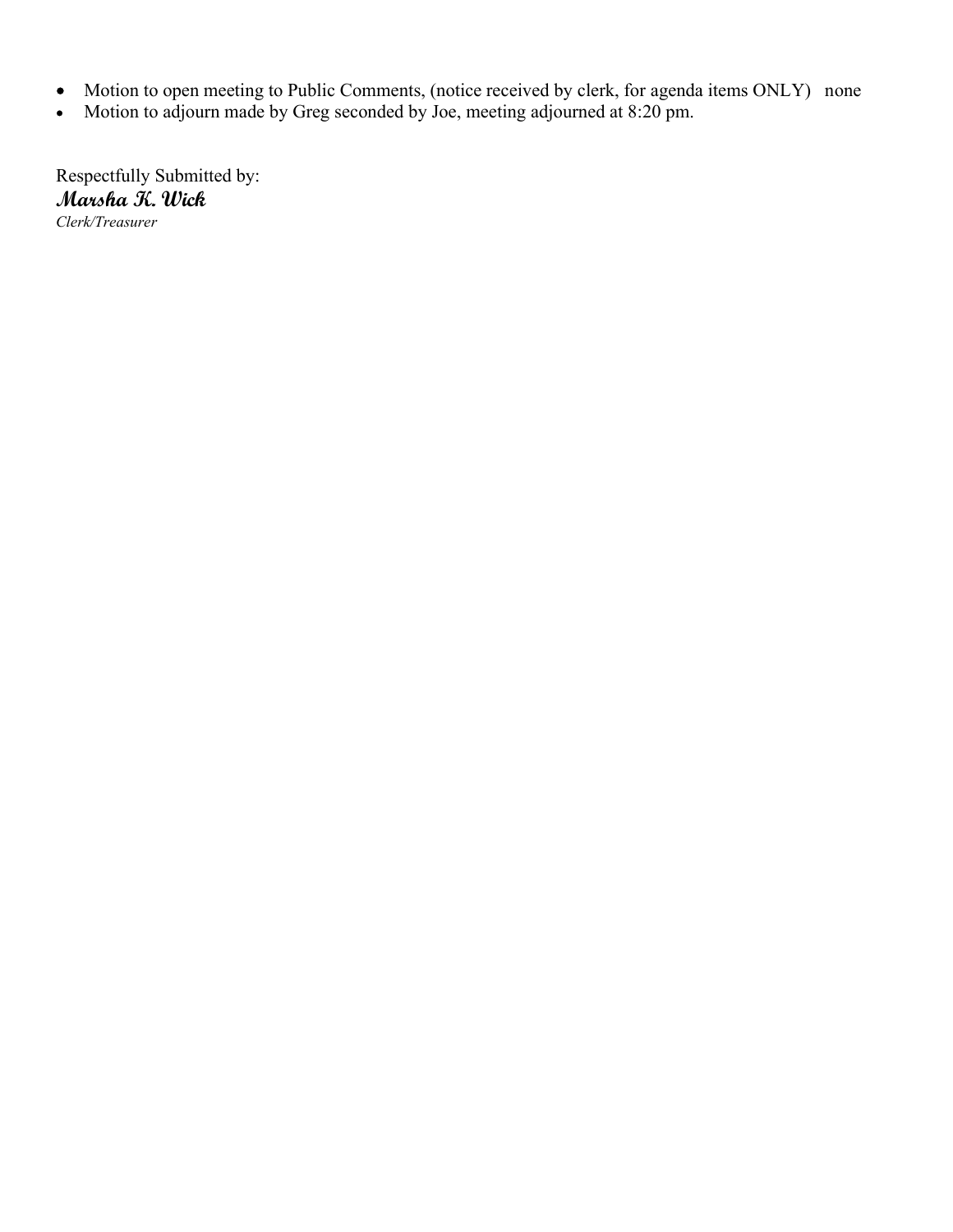- Motion to open meeting to Public Comments, (notice received by clerk, for agenda items ONLY) none
- Motion to adjourn made by Greg seconded by Joe, meeting adjourned at 8:20 pm.

Respectfully Submitted by: Marsha K. Wick Clerk/Treasurer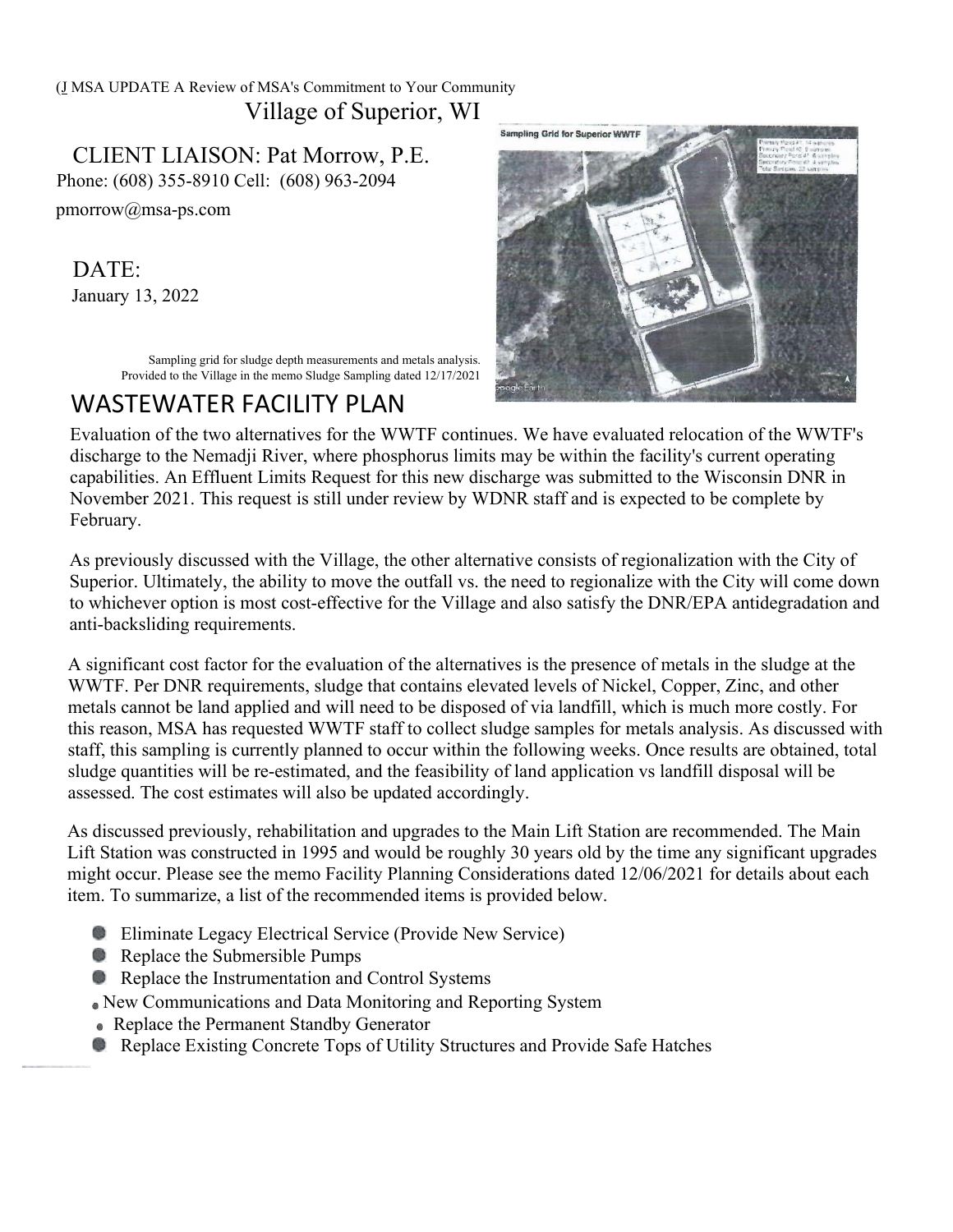### (J MSA UPDATE A Review of MSA's Commitment to Your Community Village of Superior, WI

CLIENT LIAISON: Pat Morrow, P.E. Phone: (608) 355-8910 Cell: (608) 963-2094

pmorrow@msa-ps.com

# DATE:

January 13, 2022

Sampling grid for sludge depth measurements and metals analysis. Provided to the Village in the memo Sludge Sampling dated 12/17/2021

# WASTEWATER FACILITY PLAN



Evaluation of the two alternatives for the WWTF continues. We have evaluated relocation of the WWTF's discharge to the Nemadji River, where phosphorus limits may be within the facility's current operating capabilities. An Effluent Limits Request for this new discharge was submitted to the Wisconsin DNR in November 2021. This request is still under review by WDNR staff and is expected to be complete by February.

As previously discussed with the Village, the other alternative consists of regionalization with the City of Superior. Ultimately, the ability to move the outfall vs. the need to regionalize with the City will come down to whichever option is most cost-effective for the Village and also satisfy the DNR/EPA antidegradation and anti-backsliding requirements.

A significant cost factor for the evaluation of the alternatives is the presence of metals in the sludge at the WWTF. Per DNR requirements, sludge that contains elevated levels of Nickel, Copper, Zinc, and other metals cannot be land applied and will need to be disposed of via landfill, which is much more costly. For this reason, MSA has requested WWTF staff to collect sludge samples for metals analysis. As discussed with staff, this sampling is currently planned to occur within the following weeks. Once results are obtained, total sludge quantities will be re-estimated, and the feasibility of land application vs landfill disposal will be assessed. The cost estimates will also be updated accordingly.

As discussed previously, rehabilitation and upgrades to the Main Lift Station are recommended. The Main Lift Station was constructed in 1995 and would be roughly 30 years old by the time any significant upgrades might occur. Please see the memo Facility Planning Considerations dated 12/06/2021 for details about each item. To summarize, a list of the recommended items is provided below.

- **Eliminate Legacy Electrical Service (Provide New Service)**
- **Replace the Submersible Pumps**
- **C** Replace the Instrumentation and Control Systems
- New Communications and Data Monitoring and Reporting System
- Replace the Permanent Standby Generator
- Replace Existing Concrete Tops of Utility Structures and Provide Safe Hatches